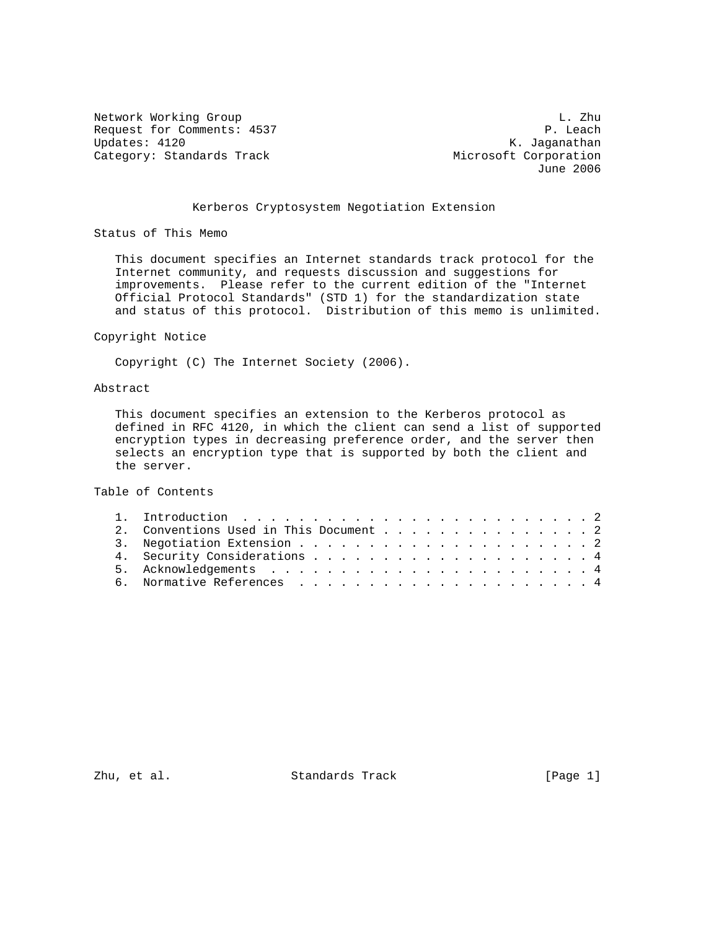Network Working Group<br>Request for Comments: 4537 Request for Comments: 4537 Request for Comments: 4537<br>Updates: 4120 Category: Standards Track Microsoft Corporation

K. Jaganathan June 2006

# Kerberos Cryptosystem Negotiation Extension

Status of This Memo

 This document specifies an Internet standards track protocol for the Internet community, and requests discussion and suggestions for improvements. Please refer to the current edition of the "Internet Official Protocol Standards" (STD 1) for the standardization state and status of this protocol. Distribution of this memo is unlimited.

### Copyright Notice

Copyright (C) The Internet Society (2006).

### Abstract

 This document specifies an extension to the Kerberos protocol as defined in RFC 4120, in which the client can send a list of supported encryption types in decreasing preference order, and the server then selects an encryption type that is supported by both the client and the server.

Table of Contents

|  |  |  |  |  |  |  |  | 2. Conventions Used in This Document 2 |
|--|--|--|--|--|--|--|--|----------------------------------------|

Zhu, et al. Standards Track [Page 1]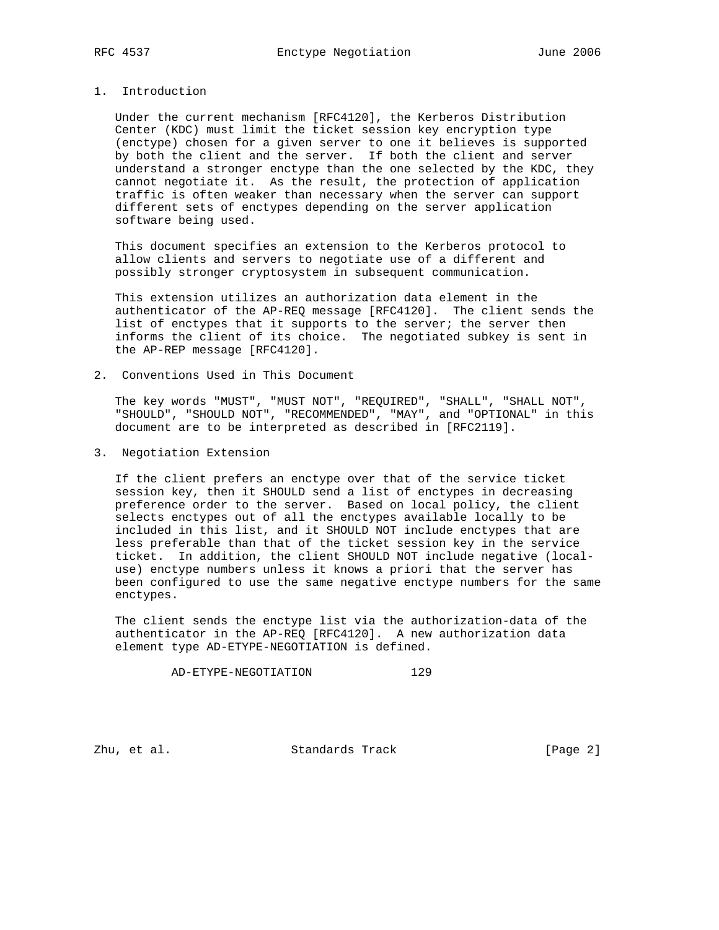# 1. Introduction

 Under the current mechanism [RFC4120], the Kerberos Distribution Center (KDC) must limit the ticket session key encryption type (enctype) chosen for a given server to one it believes is supported by both the client and the server. If both the client and server understand a stronger enctype than the one selected by the KDC, they cannot negotiate it. As the result, the protection of application traffic is often weaker than necessary when the server can support different sets of enctypes depending on the server application software being used.

 This document specifies an extension to the Kerberos protocol to allow clients and servers to negotiate use of a different and possibly stronger cryptosystem in subsequent communication.

 This extension utilizes an authorization data element in the authenticator of the AP-REQ message [RFC4120]. The client sends the list of enctypes that it supports to the server; the server then informs the client of its choice. The negotiated subkey is sent in the AP-REP message [RFC4120].

2. Conventions Used in This Document

 The key words "MUST", "MUST NOT", "REQUIRED", "SHALL", "SHALL NOT", "SHOULD", "SHOULD NOT", "RECOMMENDED", "MAY", and "OPTIONAL" in this document are to be interpreted as described in [RFC2119].

3. Negotiation Extension

 If the client prefers an enctype over that of the service ticket session key, then it SHOULD send a list of enctypes in decreasing preference order to the server. Based on local policy, the client selects enctypes out of all the enctypes available locally to be included in this list, and it SHOULD NOT include enctypes that are less preferable than that of the ticket session key in the service ticket. In addition, the client SHOULD NOT include negative (local use) enctype numbers unless it knows a priori that the server has been configured to use the same negative enctype numbers for the same enctypes.

 The client sends the enctype list via the authorization-data of the authenticator in the AP-REQ [RFC4120]. A new authorization data element type AD-ETYPE-NEGOTIATION is defined.

AD-ETYPE-NEGOTIATION 129

Zhu, et al. Standards Track [Page 2]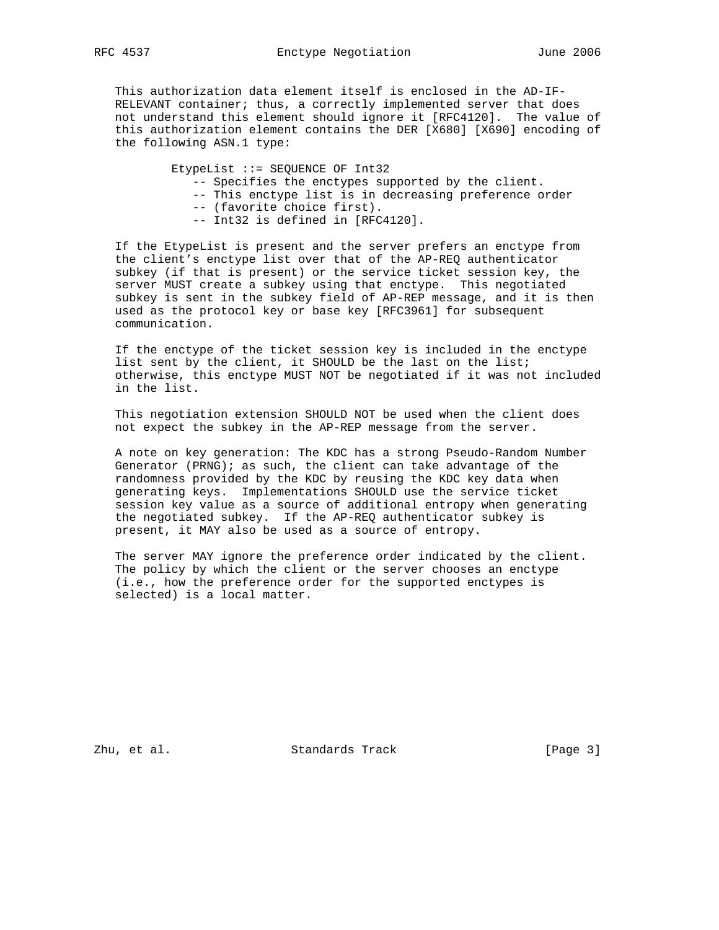This authorization data element itself is enclosed in the AD-IF- RELEVANT container; thus, a correctly implemented server that does not understand this element should ignore it [RFC4120]. The value of this authorization element contains the DER [X680] [X690] encoding of the following ASN.1 type:

EtypeList ::= SEQUENCE OF Int32

- -- Specifies the enctypes supported by the client.
- -- This enctype list is in decreasing preference order
- -- (favorite choice first).
- -- Int32 is defined in [RFC4120].

 If the EtypeList is present and the server prefers an enctype from the client's enctype list over that of the AP-REQ authenticator subkey (if that is present) or the service ticket session key, the server MUST create a subkey using that enctype. This negotiated subkey is sent in the subkey field of AP-REP message, and it is then used as the protocol key or base key [RFC3961] for subsequent communication.

 If the enctype of the ticket session key is included in the enctype list sent by the client, it SHOULD be the last on the list; otherwise, this enctype MUST NOT be negotiated if it was not included in the list.

 This negotiation extension SHOULD NOT be used when the client does not expect the subkey in the AP-REP message from the server.

 A note on key generation: The KDC has a strong Pseudo-Random Number Generator (PRNG); as such, the client can take advantage of the randomness provided by the KDC by reusing the KDC key data when generating keys. Implementations SHOULD use the service ticket session key value as a source of additional entropy when generating the negotiated subkey. If the AP-REQ authenticator subkey is present, it MAY also be used as a source of entropy.

 The server MAY ignore the preference order indicated by the client. The policy by which the client or the server chooses an enctype (i.e., how the preference order for the supported enctypes is selected) is a local matter.

Zhu, et al. Standards Track [Page 3]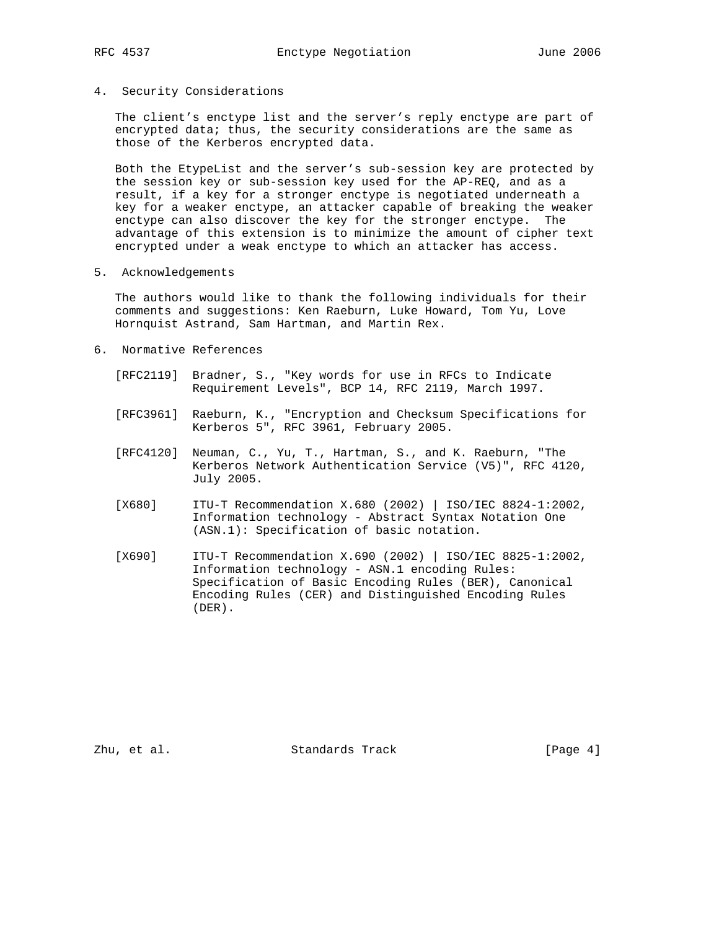### 4. Security Considerations

 The client's enctype list and the server's reply enctype are part of encrypted data; thus, the security considerations are the same as those of the Kerberos encrypted data.

 Both the EtypeList and the server's sub-session key are protected by the session key or sub-session key used for the AP-REQ, and as a result, if a key for a stronger enctype is negotiated underneath a key for a weaker enctype, an attacker capable of breaking the weaker enctype can also discover the key for the stronger enctype. The advantage of this extension is to minimize the amount of cipher text encrypted under a weak enctype to which an attacker has access.

5. Acknowledgements

 The authors would like to thank the following individuals for their comments and suggestions: Ken Raeburn, Luke Howard, Tom Yu, Love Hornquist Astrand, Sam Hartman, and Martin Rex.

- 6. Normative References
	- [RFC2119] Bradner, S., "Key words for use in RFCs to Indicate Requirement Levels", BCP 14, RFC 2119, March 1997.
	- [RFC3961] Raeburn, K., "Encryption and Checksum Specifications for Kerberos 5", RFC 3961, February 2005.
	- [RFC4120] Neuman, C., Yu, T., Hartman, S., and K. Raeburn, "The Kerberos Network Authentication Service (V5)", RFC 4120, July 2005.
	- [X680] ITU-T Recommendation X.680 (2002) | ISO/IEC 8824-1:2002, Information technology - Abstract Syntax Notation One (ASN.1): Specification of basic notation.
	- [X690] ITU-T Recommendation X.690 (2002) | ISO/IEC 8825-1:2002, Information technology - ASN.1 encoding Rules: Specification of Basic Encoding Rules (BER), Canonical Encoding Rules (CER) and Distinguished Encoding Rules (DER).

Zhu, et al. Standards Track [Page 4]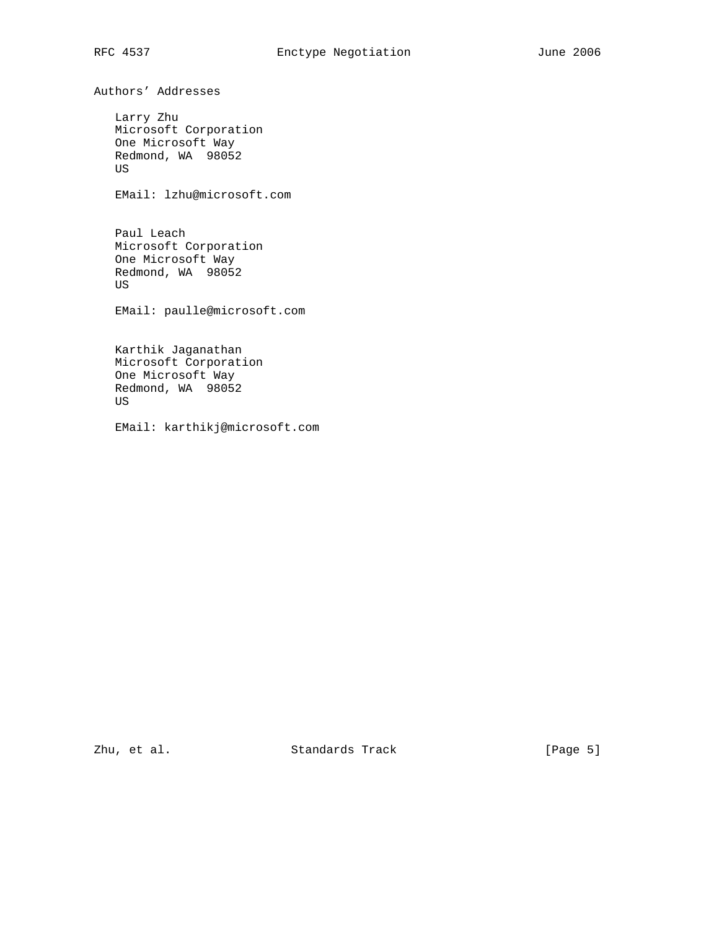Authors' Addresses

 Larry Zhu Microsoft Corporation One Microsoft Way Redmond, WA 98052 US

EMail: lzhu@microsoft.com

 Paul Leach Microsoft Corporation One Microsoft Way Redmond, WA 98052 US

EMail: paulle@microsoft.com

 Karthik Jaganathan Microsoft Corporation One Microsoft Way Redmond, WA 98052 US

EMail: karthikj@microsoft.com

Zhu, et al. Standards Track [Page 5]